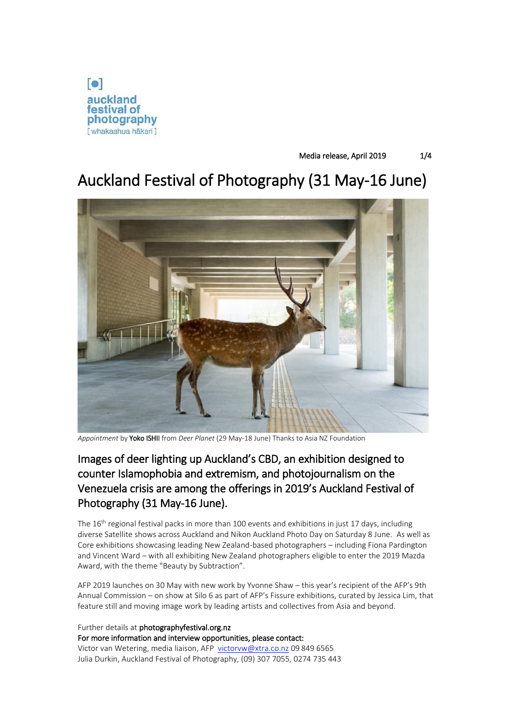

# Media release, April 2019 1/4

# Auckland Festival of Photography (31 May-16 June)



*Appointment* by Yoko ISHII from *Deer Planet* (29 May-18 June) Thanks to Asia NZ Foundation

# Images of deer lighting up Auckland's CBD, an exhibition designed to counter Islamophobia and extremism, and photojournalism on the Venezuela crisis are among the offerings in 2019's Auckland Festival of Photography (31 May-16 June).

The 16<sup>th</sup> regional festival packs in more than 100 events and exhibitions in just 17 days, including diverse Satellite shows across Auckland and Nikon Auckland Photo Day on Saturday 8 June. As well as Core exhibitions showcasing leading New Zealand-based photographers – including Fiona Pardington and Vincent Ward – with all exhibiting New Zealand photographers eligible to enter the 2019 Mazda Award, with the theme "Beauty by Subtraction".

AFP 2019 launches on 30 May with new work by Yvonne Shaw – this year's recipient of the AFP's 9th Annual Commission – on show at Silo 6 as part of AFP's Fissure exhibitions, curated by Jessica Lim, that feature still and moving image work by leading artists and collectives from Asia and beyond.

Further details at photographyfestival.org.nz For more information and interview opportunities, please contact: Victor van Wetering, media liaison, AFP [victorvw@xtra.co.nz](mailto:victorvw@xtra.co.nz) 09 849 6565 Julia Durkin, Auckland Festival of Photography, (09) 307 7055, 0274 735 443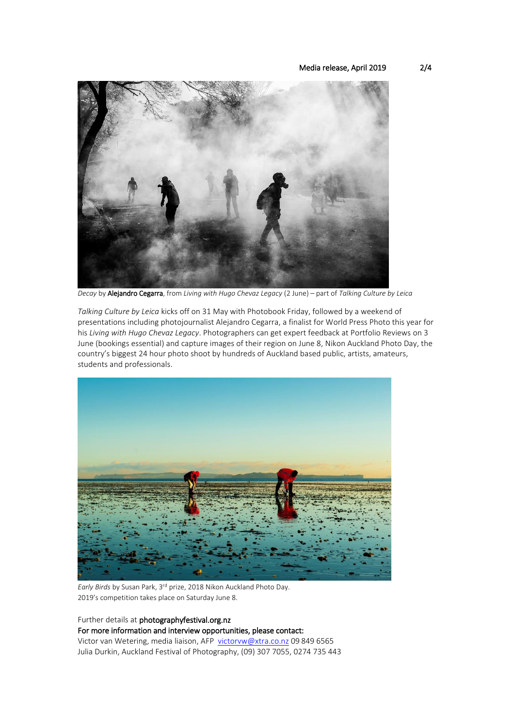### Media release, April 2019 2/4



*Decay* by Alejandro Cegarra, from *Living with Hugo Chevaz Legacy* (2 June) – part of *Talking Culture by Leica*

*Talking Culture by Leica* kicks off on 31 May with Photobook Friday, followed by a weekend of presentations including photojournalist Alejandro Cegarra, a finalist for World Press Photo this year for his *Living with Hugo Chevaz Legacy*. Photographers can get expert feedback at Portfolio Reviews on 3 June (bookings essential) and capture images of their region on June 8, Nikon Auckland Photo Day, the country's biggest 24 hour photo shoot by hundreds of Auckland based public, artists, amateurs, students and professionals.



*Early Birds* by Susan Park, 3 rd prize, 2018 Nikon Auckland Photo Day. 2019's competition takes place on Saturday June 8.

# Further details at photographyfestival.org.nz For more information and interview opportunities, please contact: Victor van Wetering, media liaison, AFP [victorvw@xtra.co.nz](mailto:victorvw@xtra.co.nz) 09 849 6565 Julia Durkin, Auckland Festival of Photography, (09) 307 7055, 0274 735 443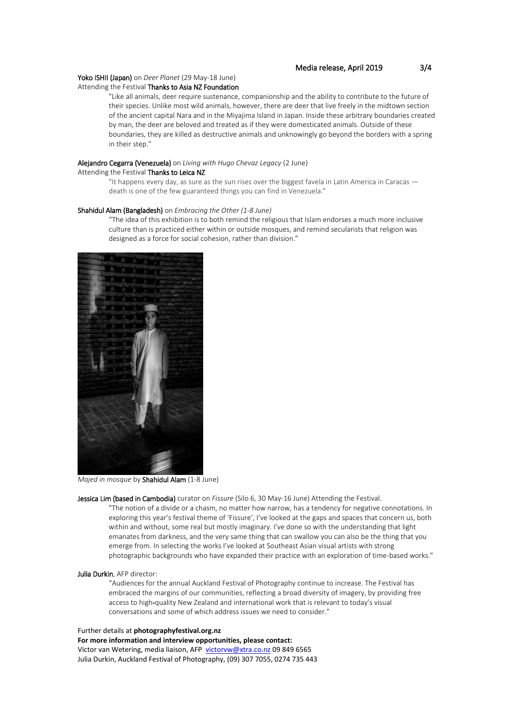# Yoko ISHII (Japan) on *Deer Planet* (29 May-18 June)

### Attending the Festival Thanks to Asia NZ Foundation

"Like all animals, deer require sustenance, companionship and the ability to contribute to the future of their species. Unlike most wild animals, however, there are deer that live freely in the midtown section of the ancient capital Nara and in the Miyajima Island in Japan. Inside these arbitrary boundaries created by man, the deer are beloved and treated as if they were domesticated animals. Outside of these boundaries, they are killed as destructive animals and unknowingly go beyond the borders with a spring in their step."

# Alejandro Cegarra (Venezuela) on *Living with Hugo Chevaz Legacy* (2 June)

Attending the Festival Thanks to Leica NZ

"It happens every day, as sure as the sun rises over the biggest favela in Latin America in Caracas death is one of the few guaranteed things you can find in Venezuela."

#### Shahidul Alam (Bangladesh) on *Embracing the Other (1-8 June)*

"The idea of this exhibition is to both remind the religious that Islam endorses a much more inclusive culture than is practiced either within or outside mosques, and remind secularists that religion was designed as a force for social cohesion, rather than division."



*Majed in mosque* by Shahidul Alam (1-8 June)

Jessica Lim (based in Cambodia) curator on *Fissure* (Silo 6, 30 May-16 June) Attending the Festival.

"The notion of a divide or a chasm, no matter how narrow, has a tendency for negative connotations. In exploring this year's festival theme of 'Fissure', I've looked at the gaps and spaces that concern us, both within and without, some real but mostly imaginary. I've done so with the understanding that light emanates from darkness, and the very same thing that can swallow you can also be the thing that you emerge from. In selecting the works I've looked at Southeast Asian visual artists with strong photographic backgrounds who have expanded their practice with an exploration of time-based works."

#### Julia Durkin, AFP director:

"Audiences for the annual Auckland Festival of Photography continue to increase. The Festival has embraced the margins of our communities, reflecting a broad diversity of imagery, by providing free access to high-quality New Zealand and international work that is relevant to today's visual conversations and some of which address issues we need to consider."

### Further details at **photographyfestival.org.nz**

**For more information and interview opportunities, please contact:** Victor van Wetering, media liaison, AFP [victorvw@xtra.co.nz](mailto:victorvw@xtra.co.nz) 09 849 6565 Julia Durkin, Auckland Festival of Photography, (09) 307 7055, 0274 735 443